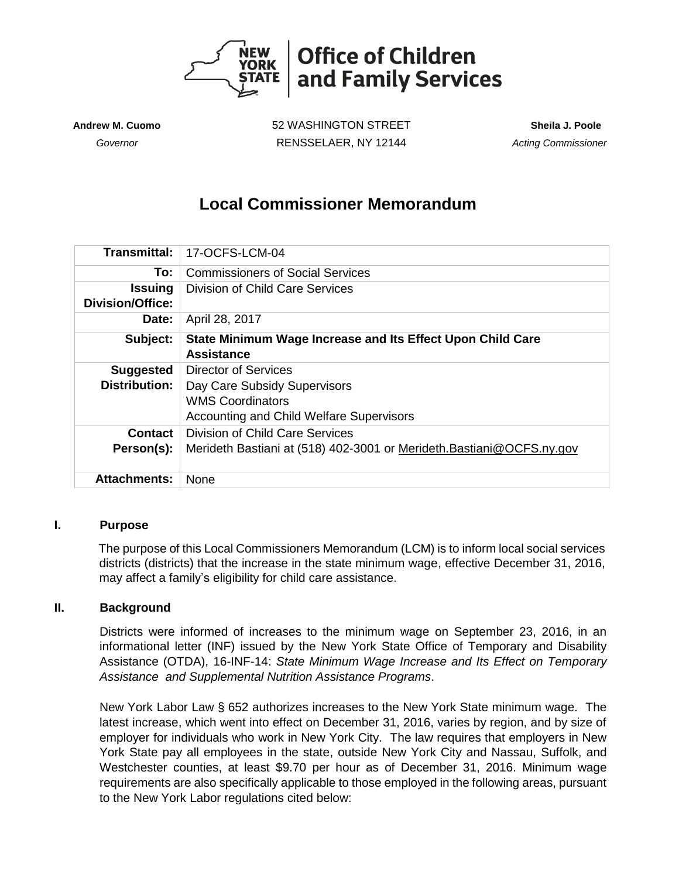

**Andrew M. Cuomo** 52 WASHINGTON STREET **Sheila J. Poole**  *Governor* RENSSELAER, NY 12144 *Acting Commissioner* 

# **Local Commissioner Memorandum**

| <b>Transmittal:</b>     | 17-OCFS-LCM-04                                                       |
|-------------------------|----------------------------------------------------------------------|
| To:                     | <b>Commissioners of Social Services</b>                              |
| <b>Issuing</b>          | <b>Division of Child Care Services</b>                               |
| <b>Division/Office:</b> |                                                                      |
| Date:                   | April 28, 2017                                                       |
| Subject:                | State Minimum Wage Increase and Its Effect Upon Child Care           |
|                         | <b>Assistance</b>                                                    |
| <b>Suggested</b>        | Director of Services                                                 |
| <b>Distribution:</b>    | Day Care Subsidy Supervisors                                         |
|                         | <b>WMS Coordinators</b>                                              |
|                         | Accounting and Child Welfare Supervisors                             |
| Contact                 | Division of Child Care Services                                      |
| Person(s):              | Merideth Bastiani at (518) 402-3001 or Merideth Bastiani@OCFS.ny.gov |
|                         |                                                                      |
| <b>Attachments:</b>     | None                                                                 |

## **I. Purpose**

The purpose of this Local Commissioners Memorandum (LCM) is to inform local social services districts (districts) that the increase in the state minimum wage, effective December 31, 2016, may affect a family's eligibility for child care assistance.

## **II. Background**

Districts were informed of increases to the minimum wage on September 23, 2016, in an informational letter (INF) issued by the New York State Office of Temporary and Disability Assistance (OTDA), 16-INF-14: *State Minimum Wage Increase and Its Effect on Temporary Assistance and Supplemental Nutrition Assistance Programs*.

New York Labor Law § 652 authorizes increases to the New York State minimum wage. The latest increase, which went into effect on December 31, 2016, varies by region, and by size of employer for individuals who work in New York City. The law requires that employers in New York State pay all employees in the state, outside New York City and Nassau, Suffolk, and Westchester counties, at least \$9.70 per hour as of December 31, 2016. Minimum wage requirements are also specifically applicable to those employed in the following areas, pursuant to the New York Labor regulations cited below: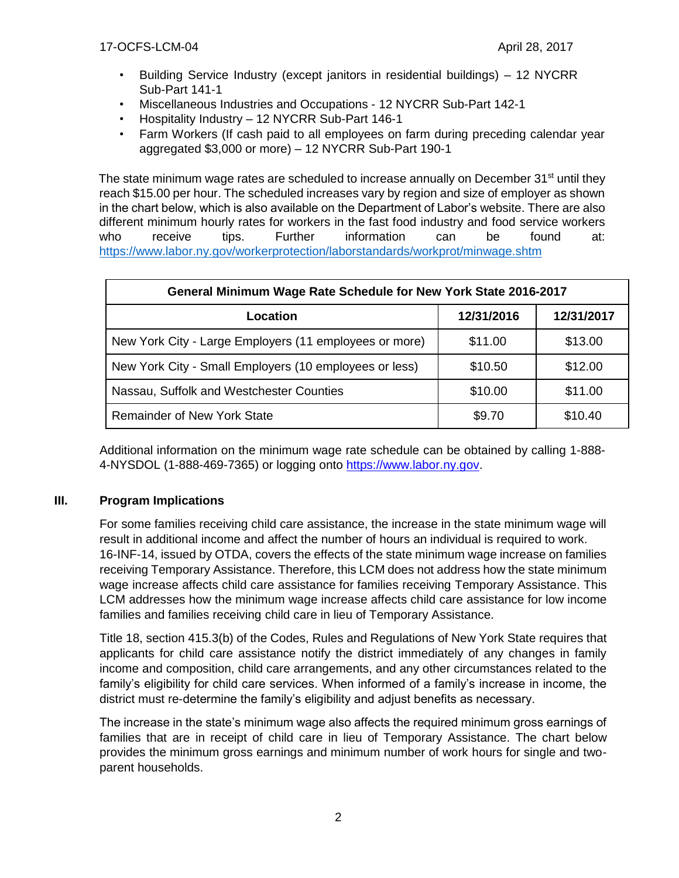- Building Service Industry (except janitors in residential buildings) 12 NYCRR Sub-Part 141-1
- Miscellaneous Industries and Occupations 12 NYCRR Sub-Part 142-1
- Hospitality Industry 12 NYCRR Sub-Part 146-1
- Farm Workers (If cash paid to all employees on farm during preceding calendar year aggregated \$3,000 or more) – 12 NYCRR Sub-Part 190-1

The state minimum wage rates are scheduled to increase annually on December  $31<sup>st</sup>$  until they reach \$15.00 per hour. The scheduled increases vary by region and size of employer as shown in the chart below, which is also available on the Department of Labor's website. There are also different minimum hourly rates for workers in the fast food industry and food service workers who receive tips. Further information can be found at: <https://www.labor.ny.gov/workerprotection/laborstandards/workprot/minwage.shtm>

| General Minimum Wage Rate Schedule for New York State 2016-2017 |            |            |  |  |  |  |
|-----------------------------------------------------------------|------------|------------|--|--|--|--|
| Location                                                        | 12/31/2016 | 12/31/2017 |  |  |  |  |
| New York City - Large Employers (11 employees or more)          | \$11.00    | \$13.00    |  |  |  |  |
| New York City - Small Employers (10 employees or less)          | \$10.50    | \$12.00    |  |  |  |  |
| Nassau, Suffolk and Westchester Counties                        | \$10.00    | \$11.00    |  |  |  |  |
| <b>Remainder of New York State</b>                              | \$9.70     | \$10.40    |  |  |  |  |

Additional information on the minimum wage rate schedule can be obtained by calling 1-888- 4-NYSDOL (1-888-469-7365) or logging onto [https://www.labor.ny.gov.](https://www.labor.ny.gov/) 

## **III. Program Implications**

For some families receiving child care assistance, the increase in the state minimum wage will result in additional income and affect the number of hours an individual is required to work. 16-INF-14, issued by OTDA, covers the effects of the state minimum wage increase on families receiving Temporary Assistance. Therefore, this LCM does not address how the state minimum wage increase affects child care assistance for families receiving Temporary Assistance. This LCM addresses how the minimum wage increase affects child care assistance for low income families and families receiving child care in lieu of Temporary Assistance.

Title 18, section 415.3(b) of the Codes, Rules and Regulations of New York State requires that applicants for child care assistance notify the district immediately of any changes in family income and composition, child care arrangements, and any other circumstances related to the family's eligibility for child care services. When informed of a family's increase in income, the district must re-determine the family's eligibility and adjust benefits as necessary.

The increase in the state's minimum wage also affects the required minimum gross earnings of families that are in receipt of child care in lieu of Temporary Assistance. The chart below provides the minimum gross earnings and minimum number of work hours for single and twoparent households.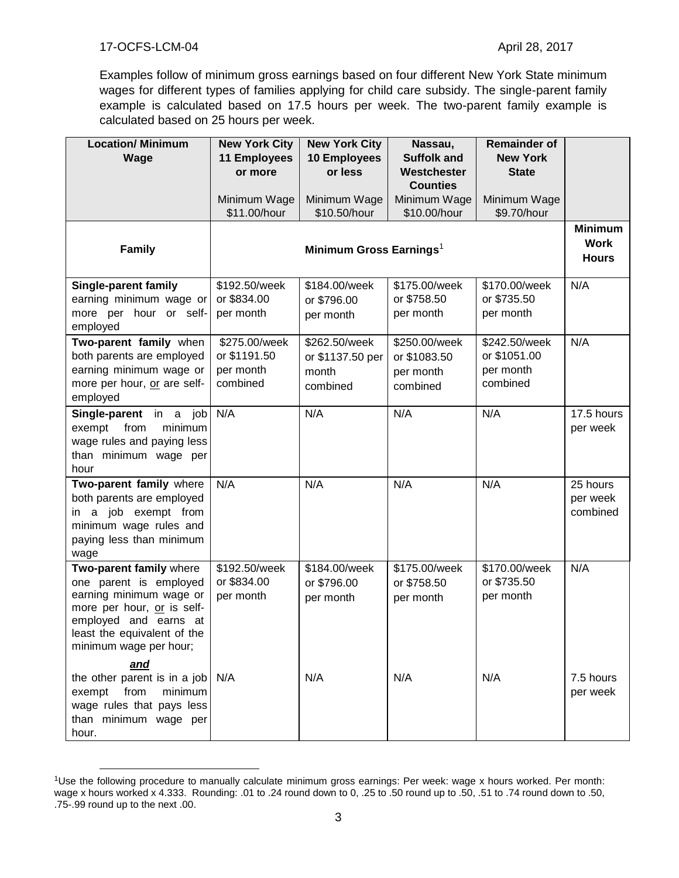Examples follow of minimum gross earnings based on four different New York State minimum wages for different types of families applying for child care subsidy. The single-parent family example is calculated based on 17.5 hours per week. The two-parent family example is calculated based on 25 hours per week.

| <b>Location/ Minimum</b>                                                                                                                                                                     | <b>New York City</b>                                   | <b>New York City</b>                                   | Nassau,                                                | <b>Remainder of</b>                                    |                                  |
|----------------------------------------------------------------------------------------------------------------------------------------------------------------------------------------------|--------------------------------------------------------|--------------------------------------------------------|--------------------------------------------------------|--------------------------------------------------------|----------------------------------|
| Wage                                                                                                                                                                                         | <b>11 Employees</b><br>or more                         | <b>10 Employees</b><br>or less                         | <b>Suffolk and</b><br>Westchester                      | <b>New York</b><br><b>State</b>                        |                                  |
|                                                                                                                                                                                              |                                                        |                                                        | <b>Counties</b>                                        |                                                        |                                  |
|                                                                                                                                                                                              | Minimum Wage                                           | Minimum Wage                                           | Minimum Wage                                           | Minimum Wage                                           |                                  |
|                                                                                                                                                                                              | \$11.00/hour                                           | \$10.50/hour                                           | \$10.00/hour                                           | \$9.70/hour                                            |                                  |
| <b>Family</b>                                                                                                                                                                                | Minimum Gross Earnings <sup>1</sup>                    |                                                        |                                                        |                                                        |                                  |
| Single-parent family                                                                                                                                                                         | \$192.50/week                                          | \$184.00/week                                          | \$175.00/week                                          | \$170.00/week                                          | N/A                              |
| earning minimum wage or                                                                                                                                                                      | or \$834.00                                            | or \$796.00                                            | or \$758.50                                            | or \$735.50                                            |                                  |
| more per hour or self-<br>employed                                                                                                                                                           | per month                                              | per month                                              | per month                                              | per month                                              |                                  |
| Two-parent family when<br>both parents are employed<br>earning minimum wage or<br>more per hour, or are self-<br>employed                                                                    | \$275.00/week<br>or \$1191.50<br>per month<br>combined | \$262.50/week<br>or \$1137.50 per<br>month<br>combined | \$250.00/week<br>or \$1083.50<br>per month<br>combined | \$242.50/week<br>or \$1051.00<br>per month<br>combined | N/A                              |
| Single-parent in a job<br>exempt<br>from<br>minimum<br>wage rules and paying less<br>than minimum wage per<br>hour                                                                           | N/A                                                    | N/A                                                    | N/A                                                    | N/A                                                    | 17.5 hours<br>per week           |
| Two-parent family where<br>both parents are employed<br>in a job exempt from<br>minimum wage rules and<br>paying less than minimum<br>wage                                                   | N/A                                                    | N/A                                                    | N/A                                                    | N/A                                                    | 25 hours<br>per week<br>combined |
| Two-parent family where<br>one parent is employed<br>earning minimum wage or<br>more per hour, or is self-<br>employed and earns at<br>least the equivalent of the<br>minimum wage per hour; | \$192.50/week<br>or \$834.00<br>per month              | \$184.00/week<br>or \$796.00<br>per month              | \$175.00/week<br>or \$758.50<br>per month              | \$170.00/week<br>or \$735.50<br>per month              | N/A                              |
| <u>and</u><br>the other parent is in a job $\vert$ N/A<br>from<br>minimum<br>exempt<br>wage rules that pays less<br>than minimum wage per<br>hour.                                           |                                                        | N/A                                                    | N/A                                                    | N/A                                                    | 7.5 hours<br>per week            |

<sup>1</sup>Use the following procedure to manually calculate minimum gross earnings: Per week: wage x hours worked. Per month: wage x hours worked x 4.333. Rounding: .01 to .24 round down to 0, .25 to .50 round up to .50, .51 to .74 round down to .50, .75-.99 round up to the next .00.